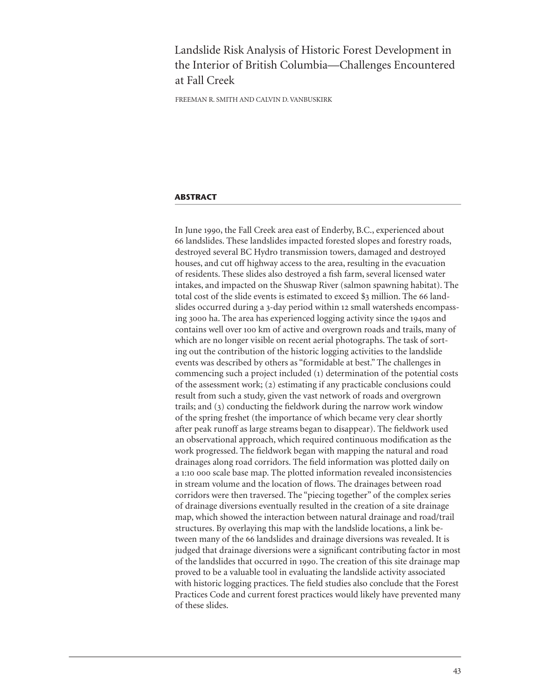# Landslide Risk Analysis of Historic Forest Development in the Interior of British Columbia—Challenges Encountered at Fall Creek

FREEMAN R. SMITH AND CALVIN D. VANBUSKIRK

## **ABSTRACT**

In June 1990, the Fall Creek area east of Enderby, B.C., experienced about 66 landslides. These landslides impacted forested slopes and forestry roads, destroyed several BC Hydro transmission towers, damaged and destroyed houses, and cut off highway access to the area, resulting in the evacuation of residents. These slides also destroyed a fish farm, several licensed water intakes, and impacted on the Shuswap River (salmon spawning habitat). The total cost of the slide events is estimated to exceed \$3 million. The 66 landslides occurred during a 3-day period within 12 small watersheds encompassing 3000 ha. The area has experienced logging activity since the 1940s and contains well over 100 km of active and overgrown roads and trails, many of which are no longer visible on recent aerial photographs. The task of sorting out the contribution of the historic logging activities to the landslide events was described by others as "formidable at best." The challenges in commencing such a project included (1) determination of the potential costs of the assessment work; (2) estimating if any practicable conclusions could result from such a study, given the vast network of roads and overgrown trails; and  $(3)$  conducting the fieldwork during the narrow work window of the spring freshet (the importance of which became very clear shortly after peak runoff as large streams began to disappear). The fieldwork used an observational approach, which required continuous modification as the work progressed. The fieldwork began with mapping the natural and road drainages along road corridors. The field information was plotted daily on a 1:10 000 scale base map. The plotted information revealed inconsistencies in stream volume and the location of flows. The drainages between road corridors were then traversed. The "piecing together" of the complex series of drainage diversions eventually resulted in the creation of a site drainage map, which showed the interaction between natural drainage and road/trail structures. By overlaying this map with the landslide locations, a link between many of the 66 landslides and drainage diversions was revealed. It is judged that drainage diversions were a significant contributing factor in most of the landslides that occurred in 1990. The creation of this site drainage map proved to be a valuable tool in evaluating the landslide activity associated with historic logging practices. The field studies also conclude that the Forest Practices Code and current forest practices would likely have prevented many of these slides.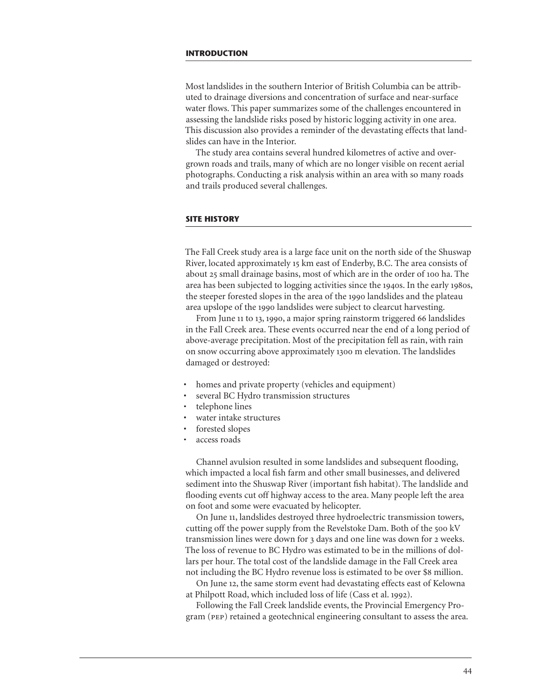Most landslides in the southern Interior of British Columbia can be attributed to drainage diversions and concentration of surface and near-surface water flows. This paper summarizes some of the challenges encountered in assessing the landslide risks posed by historic logging activity in one area. This discussion also provides a reminder of the devastating effects that landslides can have in the Interior.

The study area contains several hundred kilometres of active and overgrown roads and trails, many of which are no longer visible on recent aerial photographs. Conducting a risk analysis within an area with so many roads and trails produced several challenges.

### **SITE HISTORY**

The Fall Creek study area is a large face unit on the north side of the Shuswap River, located approximately 15 km east of Enderby, B.C. The area consists of about 25 small drainage basins, most of which are in the order of 100 ha. The area has been subjected to logging activities since the 1940s. In the early 1980s, the steeper forested slopes in the area of the 1990 landslides and the plateau area upslope of the 1990 landslides were subject to clearcut harvesting.

From June 11 to 13, 1990, a major spring rainstorm triggered 66 landslides in the Fall Creek area. These events occurred near the end of a long period of above-average precipitation. Most of the precipitation fell as rain, with rain on snow occurring above approximately 1300 m elevation. The landslides damaged or destroyed:

- homes and private property (vehicles and equipment)
- several BC Hydro transmission structures
- telephone lines
- water intake structures
- forested slopes
- access roads

Channel avulsion resulted in some landslides and subsequent flooding, which impacted a local fish farm and other small businesses, and delivered sediment into the Shuswap River (important fish habitat). The landslide and flooding events cut off highway access to the area. Many people left the area on foot and some were evacuated by helicopter.

On June 11, landslides destroyed three hydroelectric transmission towers, cutting off the power supply from the Revelstoke Dam. Both of the 500 kV transmission lines were down for 3 days and one line was down for 2 weeks. The loss of revenue to BC Hydro was estimated to be in the millions of dollars per hour. The total cost of the landslide damage in the Fall Creek area not including the BC Hydro revenue loss is estimated to be over \$8 million.

On June 12, the same storm event had devastating effects east of Kelowna at Philpott Road, which included loss of life (Cass et al. 1992).

Following the Fall Creek landslide events, the Provincial Emergency Program (pep) retained a geotechnical engineering consultant to assess the area.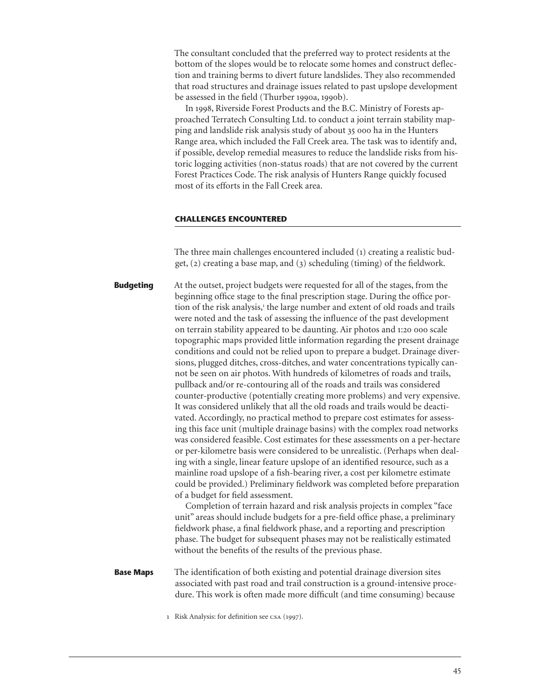The consultant concluded that the preferred way to protect residents at the bottom of the slopes would be to relocate some homes and construct deflection and training berms to divert future landslides. They also recommended that road structures and drainage issues related to past upslope development be assessed in the field (Thurber 1990a, 1990b).

In 1998, Riverside Forest Products and the B.C. Ministry of Forests approached Terratech Consulting Ltd. to conduct a joint terrain stability mapping and landslide risk analysis study of about 35 000 ha in the Hunters Range area, which included the Fall Creek area. The task was to identify and, if possible, develop remedial measures to reduce the landslide risks from historic logging activities (non-status roads) that are not covered by the current Forest Practices Code. The risk analysis of Hunters Range quickly focused most of its efforts in the Fall Creek area.

### **CHALLENGES ENCOUNTERED**

The three main challenges encountered included (1) creating a realistic budget,  $(2)$  creating a base map, and  $(3)$  scheduling (timing) of the fieldwork.

At the outset, project budgets were requested for all of the stages, from the beginning office stage to the final prescription stage. During the office portion of the risk analysis,<sup>1</sup> the large number and extent of old roads and trails were noted and the task of assessing the influence of the past development on terrain stability appeared to be daunting. Air photos and 1:20 000 scale topographic maps provided little information regarding the present drainage conditions and could not be relied upon to prepare a budget. Drainage diversions, plugged ditches, cross-ditches, and water concentrations typically cannot be seen on air photos. With hundreds of kilometres of roads and trails, pullback and/or re-contouring all of the roads and trails was considered counter-productive (potentially creating more problems) and very expensive. It was considered unlikely that all the old roads and trails would be deactivated. Accordingly, no practical method to prepare cost estimates for assessing this face unit (multiple drainage basins) with the complex road networks was considered feasible. Cost estimates for these assessments on a per-hectare or per-kilometre basis were considered to be unrealistic. (Perhaps when dealing with a single, linear feature upslope of an identified resource, such as a mainline road upslope of a fish-bearing river, a cost per kilometre estimate could be provided.) Preliminary fieldwork was completed before preparation of a budget for field assessment. Completion of terrain hazard and risk analysis projects in complex "face **Budgeting**

unit" areas should include budgets for a pre-field office phase, a preliminary fieldwork phase, a final fieldwork phase, and a reporting and prescription phase. The budget for subsequent phases may not be realistically estimated without the benefits of the results of the previous phase.

The identification of both existing and potential drainage diversion sites associated with past road and trail construction is a ground-intensive procedure. This work is often made more difficult (and time consuming) because **Base Maps**

1 Risk Analysis: for definition see CSA (1997).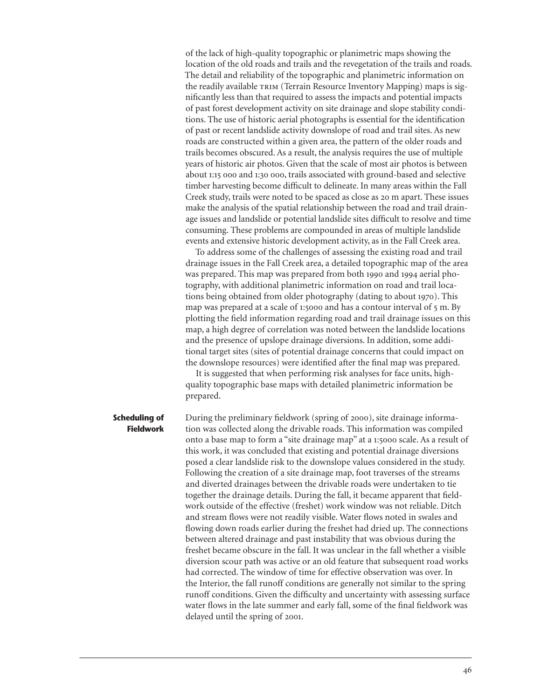of the lack of high-quality topographic or planimetric maps showing the location of the old roads and trails and the revegetation of the trails and roads. The detail and reliability of the topographic and planimetric information on the readily available TRIM (Terrain Resource Inventory Mapping) maps is significantly less than that required to assess the impacts and potential impacts of past forest development activity on site drainage and slope stability conditions. The use of historic aerial photographs is essential for the identification of past or recent landslide activity downslope of road and trail sites. As new roads are constructed within a given area, the pattern of the older roads and trails becomes obscured. As a result, the analysis requires the use of multiple years of historic air photos. Given that the scale of most air photos is between about 1:15 000 and 1:30 000, trails associated with ground-based and selective timber harvesting become difficult to delineate. In many areas within the Fall Creek study, trails were noted to be spaced as close as 20 m apart. These issues make the analysis of the spatial relationship between the road and trail drainage issues and landslide or potential landslide sites difficult to resolve and time consuming. These problems are compounded in areas of multiple landslide events and extensive historic development activity, as in the Fall Creek area.

To address some of the challenges of assessing the existing road and trail drainage issues in the Fall Creek area, a detailed topographic map of the area was prepared. This map was prepared from both 1990 and 1994 aerial photography, with additional planimetric information on road and trail locations being obtained from older photography (dating to about 1970). This map was prepared at a scale of 1:5000 and has a contour interval of 5 m. By plotting the field information regarding road and trail drainage issues on this map, a high degree of correlation was noted between the landslide locations and the presence of upslope drainage diversions. In addition, some additional target sites (sites of potential drainage concerns that could impact on the downslope resources) were identified after the final map was prepared.

It is suggested that when performing risk analyses for face units, highquality topographic base maps with detailed planimetric information be prepared.

During the preliminary fieldwork (spring of 2000), site drainage information was collected along the drivable roads. This information was compiled onto a base map to form a "site drainage map" at a 1:5000 scale. As a result of this work, it was concluded that existing and potential drainage diversions posed a clear landslide risk to the downslope values considered in the study. Following the creation of a site drainage map, foot traverses of the streams and diverted drainages between the drivable roads were undertaken to tie together the drainage details. During the fall, it became apparent that fieldwork outside of the effective (freshet) work window was not reliable. Ditch and stream flows were not readily visible. Water flows noted in swales and flowing down roads earlier during the freshet had dried up. The connections between altered drainage and past instability that was obvious during the freshet became obscure in the fall. It was unclear in the fall whether a visible diversion scour path was active or an old feature that subsequent road works had corrected. The window of time for effective observation was over. In the Interior, the fall runoff conditions are generally not similar to the spring runoff conditions. Given the difficulty and uncertainty with assessing surface water flows in the late summer and early fall, some of the final fieldwork was delayed until the spring of 2001. **Scheduling of Fieldwork**

46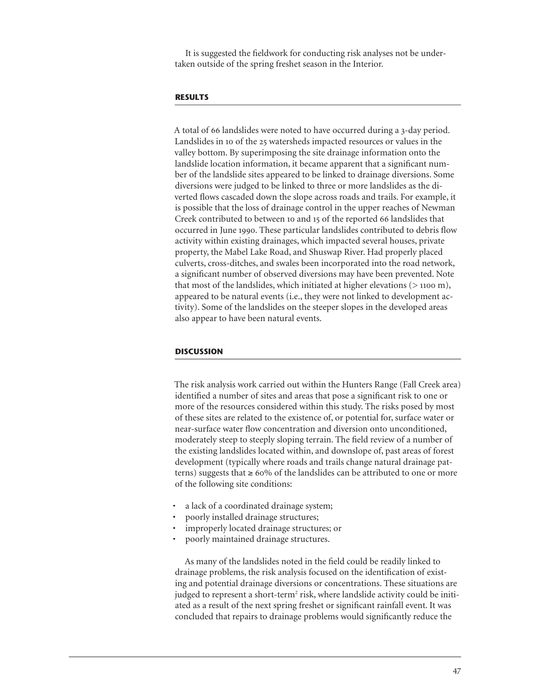It is suggested the fieldwork for conducting risk analyses not be undertaken outside of the spring freshet season in the Interior.

# **RESULTS**

A total of 66 landslides were noted to have occurred during a 3-day period. Landslides in 10 of the 25 watersheds impacted resources or values in the valley bottom. By superimposing the site drainage information onto the landslide location information, it became apparent that a significant number of the landslide sites appeared to be linked to drainage diversions. Some diversions were judged to be linked to three or more landslides as the diverted flows cascaded down the slope across roads and trails. For example, it is possible that the loss of drainage control in the upper reaches of Newman Creek contributed to between 10 and 15 of the reported 66 landslides that occurred in June 1990. These particular landslides contributed to debris flow activity within existing drainages, which impacted several houses, private property, the Mabel Lake Road, and Shuswap River. Had properly placed culverts, cross-ditches, and swales been incorporated into the road network, a significant number of observed diversions may have been prevented. Note that most of the landslides, which initiated at higher elevations  $(>1100 \text{ m})$ , appeared to be natural events (i.e., they were not linked to development activity). Some of the landslides on the steeper slopes in the developed areas also appear to have been natural events.

### **DISCUSSION**

The risk analysis work carried out within the Hunters Range (Fall Creek area) identified a number of sites and areas that pose a significant risk to one or more of the resources considered within this study. The risks posed by most of these sites are related to the existence of, or potential for, surface water or near-surface water flow concentration and diversion onto unconditioned, moderately steep to steeply sloping terrain. The field review of a number of the existing landslides located within, and downslope of, past areas of forest development (typically where roads and trails change natural drainage patterns) suggests that  $\geq 60\%$  of the landslides can be attributed to one or more of the following site conditions:

- a lack of a coordinated drainage system;
- poorly installed drainage structures;
- improperly located drainage structures; or
- poorly maintained drainage structures.

As many of the landslides noted in the field could be readily linked to drainage problems, the risk analysis focused on the identification of existing and potential drainage diversions or concentrations. These situations are judged to represent a short-term<sup>2</sup> risk, where landslide activity could be initiated as a result of the next spring freshet or significant rainfall event. It was concluded that repairs to drainage problems would significantly reduce the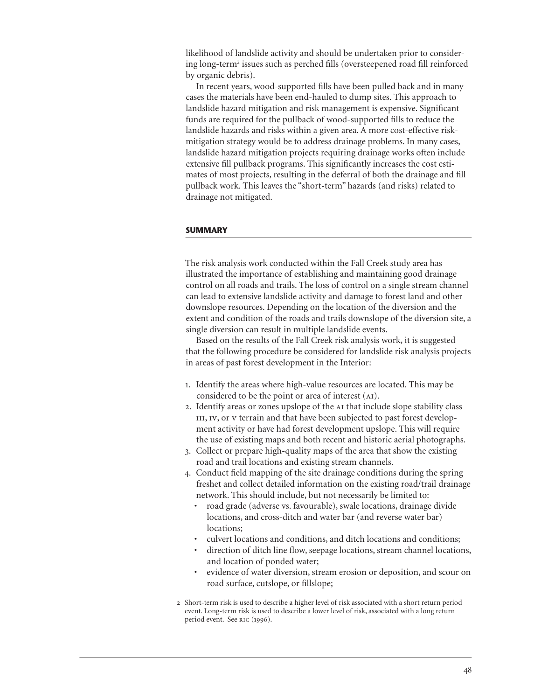likelihood of landslide activity and should be undertaken prior to considering long-term<sup>2</sup> issues such as perched fills (oversteepened road fill reinforced by organic debris).

In recent years, wood-supported fills have been pulled back and in many cases the materials have been end-hauled to dump sites. This approach to landslide hazard mitigation and risk management is expensive. Significant funds are required for the pullback of wood-supported fills to reduce the landslide hazards and risks within a given area. A more cost-effective riskmitigation strategy would be to address drainage problems. In many cases, landslide hazard mitigation projects requiring drainage works often include extensive fill pullback programs. This significantly increases the cost estimates of most projects, resulting in the deferral of both the drainage and fill pullback work. This leaves the "short-term" hazards (and risks) related to drainage not mitigated.

# **SUMMARY**

The risk analysis work conducted within the Fall Creek study area has illustrated the importance of establishing and maintaining good drainage control on all roads and trails. The loss of control on a single stream channel can lead to extensive landslide activity and damage to forest land and other downslope resources. Depending on the location of the diversion and the extent and condition of the roads and trails downslope of the diversion site, a single diversion can result in multiple landslide events.

Based on the results of the Fall Creek risk analysis work, it is suggested that the following procedure be considered for landslide risk analysis projects in areas of past forest development in the Interior:

- 1. Identify the areas where high-value resources are located. This may be considered to be the point or area of interest (ai).
- 2. Identify areas or zones upslope of the AI that include slope stability class III, IV, or v terrain and that have been subjected to past forest development activity or have had forest development upslope. This will require the use of existing maps and both recent and historic aerial photographs.
- 3. Collect or prepare high-quality maps of the area that show the existing road and trail locations and existing stream channels.
- 4. Conduct field mapping of the site drainage conditions during the spring freshet and collect detailed information on the existing road/trail drainage network. This should include, but not necessarily be limited to:
	- road grade (adverse vs. favourable), swale locations, drainage divide locations, and cross-ditch and water bar (and reverse water bar) locations;
	- culvert locations and conditions, and ditch locations and conditions;
	- direction of ditch line flow, seepage locations, stream channel locations, and location of ponded water;
	- evidence of water diversion, stream erosion or deposition, and scour on road surface, cutslope, or fillslope;
- 2 Short-term risk is used to describe a higher level of risk associated with a short return period event. Long-term risk is used to describe a lower level of risk, associated with a long return period event. See RIC (1996).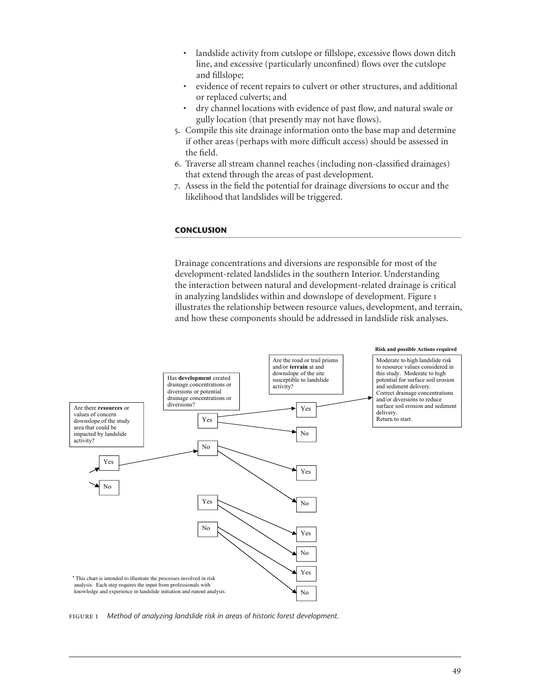- landslide activity from cutslope or fillslope, excessive flows down ditch line, and excessive (particularly unconfined) flows over the cutslope and fillslope;
- evidence of recent repairs to culvert or other structures, and additional or replaced culverts; and
- dry channel locations with evidence of past flow, and natural swale or gully location (that presently may not have flows).
- 5. Compile this site drainage information onto the base map and determine if other areas (perhaps with more difficult access) should be assessed in the field.
- 6. Traverse all stream channel reaches (including non-classified drainages) that extend through the areas of past development.
- 7. Assess in the field the potential for drainage diversions to occur and the likelihood that landslides will be triggered.

## **CONCLUSION**

Drainage concentrations and diversions are responsible for most of the development-related landslides in the southern Interior. Understanding the interaction between natural and development-related drainage is critical in analyzing landslides within and downslope of development. Figure 1 illustrates the relationship between resource values, development, and terrain, and how these components should be addressed in landslide risk analyses.



fi gure 1 *Method of analyzing landslide risk in areas of historic forest development.*